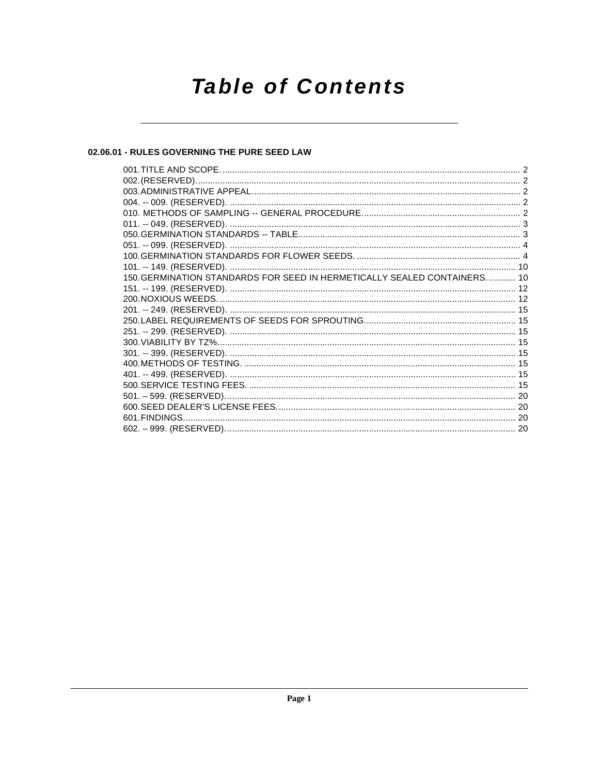# **Table of Contents**

#### 02.06.01 - RULES GOVERNING THE PURE SEED LAW

| 150. GERMINATION STANDARDS FOR SEED IN HERMETICALLY SEALED CONTAINERS 10 |  |
|--------------------------------------------------------------------------|--|
|                                                                          |  |
|                                                                          |  |
|                                                                          |  |
|                                                                          |  |
|                                                                          |  |
|                                                                          |  |
|                                                                          |  |
|                                                                          |  |
|                                                                          |  |
|                                                                          |  |
|                                                                          |  |
|                                                                          |  |
|                                                                          |  |
|                                                                          |  |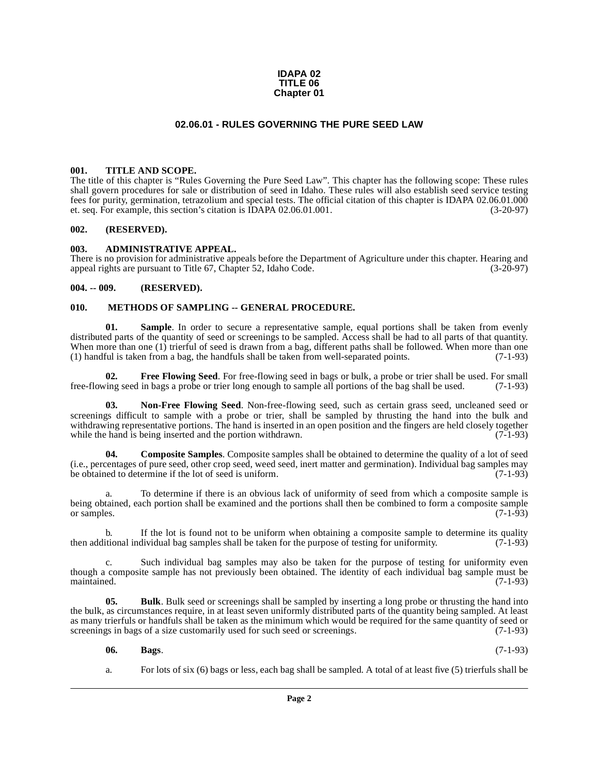#### **IDAPA 02 TITLE 06 Chapter 01**

#### **02.06.01 - RULES GOVERNING THE PURE SEED LAW**

#### <span id="page-1-1"></span><span id="page-1-0"></span>**001. TITLE AND SCOPE.**

The title of this chapter is "Rules Governing the Pure Seed Law". This chapter has the following scope: These rules shall govern procedures for sale or distribution of seed in Idaho. These rules will also establish seed service testing fees for purity, germination, tetrazolium and special tests. The official citation of this chapter is IDAPA 02.06.01.000 et. seq. For example, this section's citation is IDAPA 02.06.01.001. et. seq. For example, this section's citation is IDAPA 02.06.01.001.

#### <span id="page-1-2"></span>**002. (RESERVED).**

#### <span id="page-1-3"></span>**003. ADMINISTRATIVE APPEAL.**

There is no provision for administrative appeals before the Department of Agriculture under this chapter. Hearing and appeal rights are pursuant to Title 67. Chapter 52. Idaho Code. (3-20-97) appeal rights are pursuant to Title 67, Chapter 52, Idaho Code.

#### <span id="page-1-4"></span>**004. -- 009. (RESERVED).**

#### <span id="page-1-10"></span><span id="page-1-5"></span>**010. METHODS OF SAMPLING -- GENERAL PROCEDURE.**

<span id="page-1-12"></span>**01.** Sample. In order to secure a representative sample, equal portions shall be taken from evenly distributed parts of the quantity of seed or screenings to be sampled. Access shall be had to all parts of that quantity. When more than one (1) trierful of seed is drawn from a bag, different paths shall be followed. When more than one (1) handful is taken from a bag, the handfuls shall be taken from well-separated points. (7-1-93)

<span id="page-1-9"></span>**02. Free Flowing Seed**. For free-flowing seed in bags or bulk, a probe or trier shall be used. For small ing seed in bags a probe or trier long enough to sample all portions of the bag shall be used. (7-1-93) free-flowing seed in bags a probe or trier long enough to sample all portions of the bag shall be used.

<span id="page-1-11"></span>**03. Non-Free Flowing Seed**. Non-free-flowing seed, such as certain grass seed, uncleaned seed or screenings difficult to sample with a probe or trier, shall be sampled by thrusting the hand into the bulk and withdrawing representative portions. The hand is inserted in an open position and the fingers are held closely together while the hand is being inserted and the portion withdrawn. (7-1-93) while the hand is being inserted and the portion withdrawn.

<span id="page-1-8"></span>**04. Composite Samples**. Composite samples shall be obtained to determine the quality of a lot of seed (i.e., percentages of pure seed, other crop seed, weed seed, inert matter and germination). Individual bag samples may be obtained to determine if the lot of seed is uniform.

To determine if there is an obvious lack of uniformity of seed from which a composite sample is being obtained, each portion shall be examined and the portions shall then be combined to form a composite sample or samples.  $(7-1-93)$ 

b. If the lot is found not to be uniform when obtaining a composite sample to determine its quality itional individual bag samples shall be taken for the purpose of testing for uniformity.  $(7-1-93)$ then additional individual bag samples shall be taken for the purpose of testing for uniformity.

c. Such individual bag samples may also be taken for the purpose of testing for uniformity even though a composite sample has not previously been obtained. The identity of each individual bag sample must be maintained. (7-1-93) maintained. (7-1-93)

**05. Bulk**. Bulk seed or screenings shall be sampled by inserting a long probe or thrusting the hand into the bulk, as circumstances require, in at least seven uniformly distributed parts of the quantity being sampled. At least as many trierfuls or handfuls shall be taken as the minimum which would be required for the same quantity of seed or screenings in bags of a size customarily used for such seed or screenings. (7-1-93) screenings in bags of a size customarily used for such seed or screenings.

#### <span id="page-1-7"></span><span id="page-1-6"></span>**06. Bags**. (7-1-93)

a. For lots of six (6) bags or less, each bag shall be sampled. A total of at least five (5) trierfuls shall be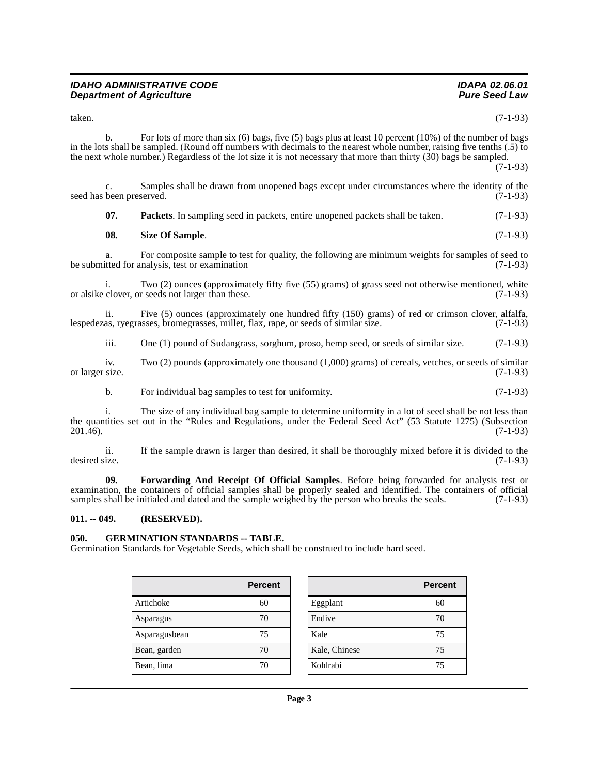| <b>IDAHO ADMINISTRATIVE CODE</b> | IDAPA 02.06.01       |
|----------------------------------|----------------------|
| <b>Department of Agriculture</b> | <b>Pure Seed Law</b> |

taken. (7-1-93)

b. For lots of more than six (6) bags, five (5) bags plus at least 10 percent (10%) of the number of bags in the lots shall be sampled. (Round off numbers with decimals to the nearest whole number, raising five tenths (.5) to the next whole number.) Regardless of the lot size it is not necessary that more than thirty (30) bags be sampled. (7-1-93)

c. Samples shall be drawn from unopened bags except under circumstances where the identity of the been preserved. (7-1-93) seed has been preserved.

<span id="page-2-5"></span><span id="page-2-4"></span>

| -07. | <b>Packets</b> . In sampling seed in packets, entire unopened packets shall be taken. | $(7-1-93)$ |
|------|---------------------------------------------------------------------------------------|------------|
|------|---------------------------------------------------------------------------------------|------------|

| - 08. | Size Of Sample. | $(7-1-93)$ |  |
|-------|-----------------|------------|--|
|-------|-----------------|------------|--|

a. For composite sample to test for quality, the following are minimum weights for samples of seed to test for analysis, test or examination (7-1-93) be submitted for analysis, test or examination

i. Two (2) ounces (approximately fifty five (55) grams) of grass seed not otherwise mentioned, white or alsike clover, or seeds not larger than these. (7-1-93)

ii. Five (5) ounces (approximately one hundred fifty (150) grams) of red or crimson clover, alfalfa, as, ryegrasses, bromegrasses, millet, flax, rape, or seeds of similar size. (7-1-93) lespedezas, ryegrasses, bromegrasses, millet, flax, rape, or seeds of similar size.

iii. One (1) pound of Sudangrass, sorghum, proso, hemp seed, or seeds of similar size. (7-1-93)

iv. Two (2) pounds (approximately one thousand (1,000) grams) of cereals, vetches, or seeds of similar size. (7-1-93) or larger size.

b. For individual bag samples to test for uniformity. (7-1-93)

i. The size of any individual bag sample to determine uniformity in a lot of seed shall be not less than the quantities set out in the "Rules and Regulations, under the Federal Seed Act" (53 Statute 1275) (Subsection 201.46). 201.46). (7-1-93)

ii. If the sample drawn is larger than desired, it shall be thoroughly mixed before it is divided to the desired size. (7-1-93)

<span id="page-2-2"></span>**09. Forwarding And Receipt Of Official Samples**. Before being forwarded for analysis test or examination, the containers of official samples shall be properly sealed and identified. The containers of official samples shall be initialed and dated and the sample weighed by the person who breaks the seals. (7-1-93) samples shall be initialed and dated and the sample weighed by the person who breaks the seals.

#### <span id="page-2-0"></span>**011. -- 049. (RESERVED).**

#### <span id="page-2-3"></span><span id="page-2-1"></span>**050. GERMINATION STANDARDS -- TABLE.**

Germination Standards for Vegetable Seeds, which shall be construed to include hard seed.

|               | <b>Percent</b> |               | Perc |
|---------------|----------------|---------------|------|
| Artichoke     | 60             | Eggplant      | 60   |
| Asparagus     | 70             | Endive        | 70   |
| Asparagusbean | 75             | Kale          | 75   |
| Bean, garden  | 70             | Kale, Chinese | 75   |
| Bean, lima    | 70             | Kohlrabi      | 75   |

| Percent |               | <b>Percent</b> |
|---------|---------------|----------------|
| 60      | Eggplant      | 60             |
| 70      | Endive        | 70             |
| 75      | Kale          | 75             |
| 70      | Kale, Chinese | 75             |
| 70      | Kohlrabi      | 75             |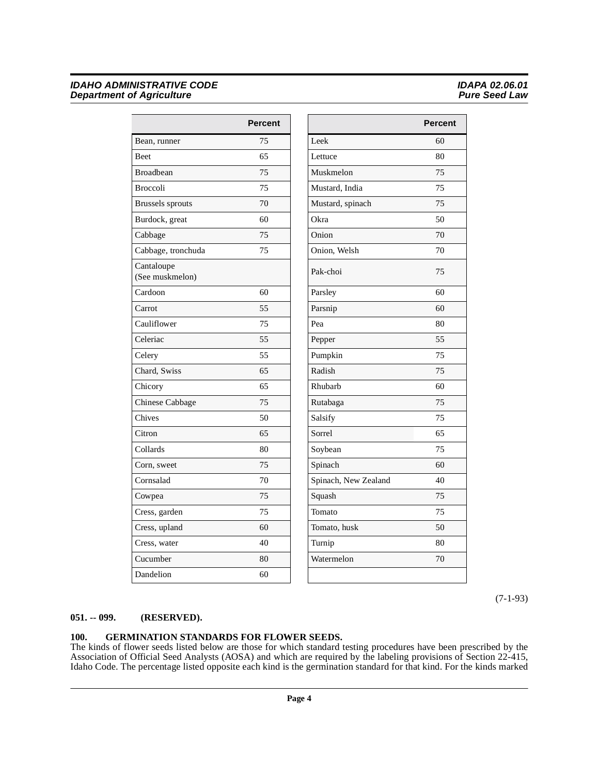|                               | <b>Percent</b> |                      |
|-------------------------------|----------------|----------------------|
| Bean, runner                  | 75             | Leek                 |
| <b>Beet</b>                   | 65             | Lettuce              |
| <b>Broadbean</b>              | 75             | Muskmelon            |
| <b>Broccoli</b>               | 75             | Mustard, India       |
| <b>Brussels</b> sprouts       | 70             | Mustard, spinach     |
| Burdock, great                | 60             | Okra                 |
| Cabbage                       | 75             | Onion                |
| Cabbage, tronchuda            | 75             | Onion, Welsh         |
| Cantaloupe<br>(See muskmelon) |                | Pak-choi             |
| Cardoon                       | 60             | Parsley              |
| Carrot                        | 55             | Parsnip              |
| Cauliflower                   | 75             | Pea                  |
| Celeriac                      | 55             | Pepper               |
| Celery                        | 55             | Pumpkin              |
| Chard, Swiss                  | 65             | Radish               |
| Chicory                       | 65             | Rhubarb              |
| Chinese Cabbage               | 75             | Rutabaga             |
| Chives                        | 50             | Salsify              |
| Citron                        | 65             | Sorrel               |
| Collards                      | 80             | Soybean              |
| Corn, sweet                   | 75             | Spinach              |
| Cornsalad                     | 70             | Spinach, New Zealand |
| Cowpea                        | 75             | Squash               |
| Cress, garden                 | 75             | Tomato               |
| Cress, upland                 | 60             | Tomato, husk         |
| Cress, water                  | 40             | Turnip               |
| Cucumber                      | 80             | Watermelon           |
| Dandelion                     | 60             |                      |

| Percent |                      | <b>Percent</b> |
|---------|----------------------|----------------|
| 75      | Leek                 | 60             |
| 65      | Lettuce              | 80             |
| 75      | Muskmelon            | 75             |
| 75      | Mustard, India       | 75             |
| 70      | Mustard, spinach     | 75             |
| 60      | Okra                 | 50             |
| 75      | Onion                | 70             |
| 75      | Onion, Welsh         | 70             |
|         | Pak-choi             | 75             |
| 60      | Parsley              | 60             |
| 55      | Parsnip              | 60             |
| 75      | Pea                  | 80             |
| 55      | Pepper               | 55             |
| 55      | Pumpkin              | 75             |
| 65      | Radish               | 75             |
| 65      | Rhubarb              | 60             |
| 75      | Rutabaga             | 75             |
| 50      | Salsify              | 75             |
| 65      | Sorrel               | 65             |
| 80      | Soybean              | 75             |
| 75      | Spinach              | 60             |
| 70      | Spinach, New Zealand | 40             |
| 75      | Squash               | 75             |
| 75      | Tomato               | 75             |
| 60      | Tomato, husk         | 50             |
| 40      | Turnip               | 80             |
| 80      | Watermelon           | 70             |
| 60      |                      |                |

(7-1-93)

#### <span id="page-3-0"></span>**051. -- 099. (RESERVED).**

### <span id="page-3-2"></span><span id="page-3-1"></span>**100. GERMINATION STANDARDS FOR FLOWER SEEDS.**

The kinds of flower seeds listed below are those for which standard testing procedures have been prescribed by the Association of Official Seed Analysts (AOSA) and which are required by the labeling provisions of Section 22-415, Idaho Code. The percentage listed opposite each kind is the germination standard for that kind. For the kinds marked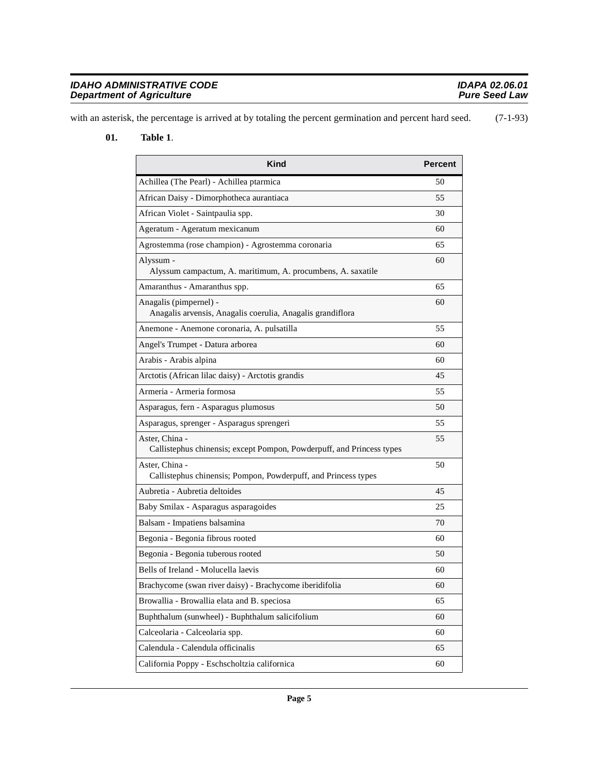| <b>IDAHO ADMINISTRATIVE CODE</b> | IDAPA 02.06.01       |
|----------------------------------|----------------------|
| <b>Department of Agriculture</b> | <b>Pure Seed Law</b> |

with an asterisk, the percentage is arrived at by totaling the percent germination and percent hard seed. (7-1-93)

#### **01. Table 1**.

<span id="page-4-0"></span>

| <b>Kind</b>                                                                             | Percent |
|-----------------------------------------------------------------------------------------|---------|
| Achillea (The Pearl) - Achillea ptarmica                                                | 50      |
| African Daisy - Dimorphotheca aurantiaca                                                | 55      |
| African Violet - Saintpaulia spp.                                                       | 30      |
| Ageratum - Ageratum mexicanum                                                           | 60      |
| Agrostemma (rose champion) - Agrostemma coronaria                                       | 65      |
| Alyssum -<br>Alyssum campactum, A. maritimum, A. procumbens, A. saxatile                | 60      |
| Amaranthus - Amaranthus spp.                                                            | 65      |
| Anagalis (pimpernel) -<br>Anagalis arvensis, Anagalis coerulia, Anagalis grandiflora    | 60      |
| Anemone - Anemone coronaria, A. pulsatilla                                              | 55      |
| Angel's Trumpet - Datura arborea                                                        | 60      |
| Arabis - Arabis alpina                                                                  | 60      |
| Arctotis (African lilac daisy) - Arctotis grandis                                       | 45      |
| Armeria - Armeria formosa                                                               | 55      |
| Asparagus, fern - Asparagus plumosus                                                    | 50      |
| Asparagus, sprenger - Asparagus sprengeri                                               | 55      |
| Aster, China -<br>Callistephus chinensis; except Pompon, Powderpuff, and Princess types | 55      |
| Aster, China -<br>Callistephus chinensis; Pompon, Powderpuff, and Princess types        | 50      |
| Aubretia - Aubretia deltoides                                                           | 45      |
| Baby Smilax - Asparagus asparagoides                                                    | 25      |
| Balsam - Impatiens balsamina                                                            | 70      |
| Begonia - Begonia fibrous rooted                                                        | 60      |
| Begonia - Begonia tuberous rooted                                                       | 50      |
| Bells of Ireland - Molucella laevis                                                     | 60      |
| Brachycome (swan river daisy) - Brachycome iberidifolia                                 | 60      |
| Browallia - Browallia elata and B. speciosa                                             | 65      |
| Buphthalum (sunwheel) - Buphthalum salicifolium                                         | 60      |
| Calceolaria - Calceolaria spp.                                                          | 60      |
| Calendula - Calendula officinalis                                                       | 65      |
| California Poppy - Eschscholtzia californica                                            | 60      |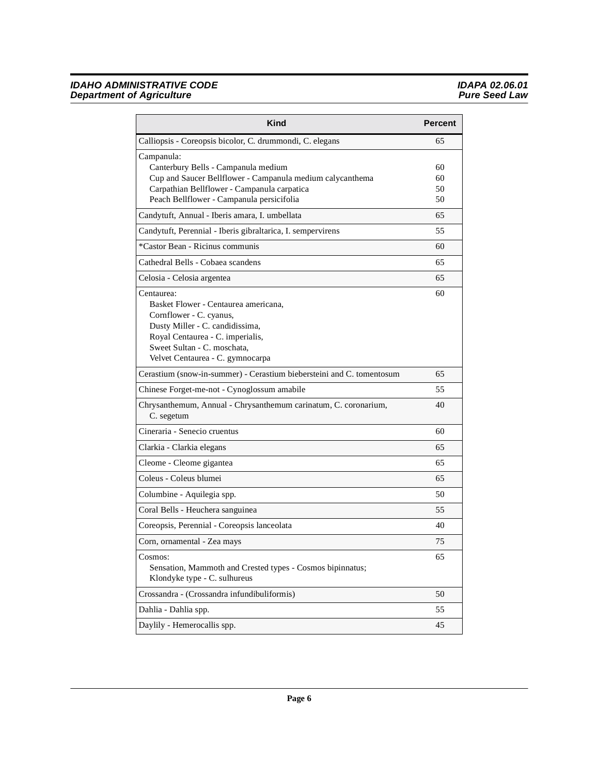| <b>Kind</b>                                                                                                                                                                                                             | <b>Percent</b>       |
|-------------------------------------------------------------------------------------------------------------------------------------------------------------------------------------------------------------------------|----------------------|
| Calliopsis - Coreopsis bicolor, C. drummondi, C. elegans                                                                                                                                                                | 65                   |
| Campanula:<br>Canterbury Bells - Campanula medium<br>Cup and Saucer Bellflower - Campanula medium calycanthema<br>Carpathian Bellflower - Campanula carpatica<br>Peach Bellflower - Campanula persicifolia              | 60<br>60<br>50<br>50 |
| Candytuft, Annual - Iberis amara, I. umbellata                                                                                                                                                                          | 65                   |
| Candytuft, Perennial - Iberis gibraltarica, I. sempervirens                                                                                                                                                             | 55                   |
| *Castor Bean - Ricinus communis                                                                                                                                                                                         | 60                   |
| Cathedral Bells - Cobaea scandens                                                                                                                                                                                       | 65                   |
| Celosia - Celosia argentea                                                                                                                                                                                              | 65                   |
| Centaurea:<br>Basket Flower - Centaurea americana,<br>Cornflower - C. cyanus,<br>Dusty Miller - C. candidissima,<br>Royal Centaurea - C. imperialis,<br>Sweet Sultan - C. moschata,<br>Velvet Centaurea - C. gymnocarpa | 60                   |
| Cerastium (snow-in-summer) - Cerastium biebersteini and C. tomentosum                                                                                                                                                   | 65                   |
| Chinese Forget-me-not - Cynoglossum amabile                                                                                                                                                                             | 55                   |
| Chrysanthemum, Annual - Chrysanthemum carinatum, C. coronarium,<br>C. segetum                                                                                                                                           | 40                   |
| Cineraria - Senecio cruentus                                                                                                                                                                                            | 60                   |
| Clarkia - Clarkia elegans                                                                                                                                                                                               | 65                   |
| Cleome - Cleome gigantea                                                                                                                                                                                                | 65                   |
| Coleus - Coleus blumei                                                                                                                                                                                                  | 65                   |
| Columbine - Aquilegia spp.                                                                                                                                                                                              | 50                   |
| Coral Bells - Heuchera sanguinea                                                                                                                                                                                        | 55                   |
| Coreopsis, Perennial - Coreopsis lanceolata                                                                                                                                                                             | 40                   |
| Corn, ornamental - Zea mays                                                                                                                                                                                             | 75                   |
| Cosmos:<br>Sensation, Mammoth and Crested types - Cosmos bipinnatus;<br>Klondyke type - C. sulhureus                                                                                                                    | 65                   |
| Crossandra - (Crossandra infundibuliformis)                                                                                                                                                                             | 50                   |
| Dahlia - Dahlia spp.                                                                                                                                                                                                    | 55                   |
| Daylily - Hemerocallis spp.                                                                                                                                                                                             | 45                   |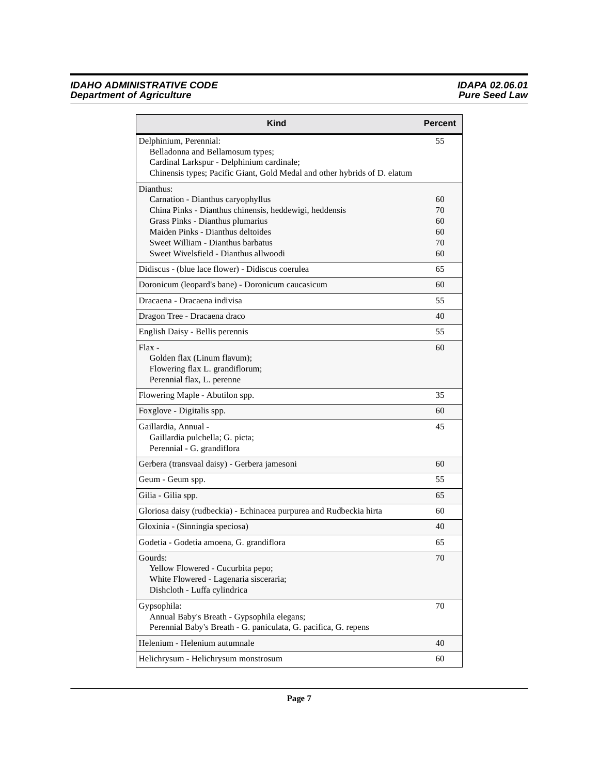| Kind                                                                                                          | <b>Percent</b> |
|---------------------------------------------------------------------------------------------------------------|----------------|
| Delphinium, Perennial:<br>Belladonna and Bellamosum types;<br>Cardinal Larkspur - Delphinium cardinale;       | 55             |
| Chinensis types; Pacific Giant, Gold Medal and other hybrids of D. elatum                                     |                |
| Dianthus:                                                                                                     |                |
| Carnation - Dianthus caryophyllus<br>China Pinks - Dianthus chinensis, heddewigi, heddensis                   | 60<br>70       |
| Grass Pinks - Dianthus plumarius                                                                              | 60             |
| Maiden Pinks - Dianthus deltoides                                                                             | 60             |
| Sweet William - Dianthus barbatus                                                                             | 70             |
| Sweet Wivelsfield - Dianthus allwoodi                                                                         | 60             |
| Didiscus - (blue lace flower) - Didiscus coerulea                                                             | 65             |
| Doronicum (leopard's bane) - Doronicum caucasicum                                                             | 60             |
| Dracaena - Dracaena indivisa                                                                                  | 55             |
| Dragon Tree - Dracaena draco                                                                                  | 40             |
| English Daisy - Bellis perennis                                                                               | 55             |
| $Flax -$<br>Golden flax (Linum flavum);                                                                       | 60             |
| Flowering flax L. grandiflorum;                                                                               |                |
| Perennial flax, L. perenne                                                                                    |                |
| Flowering Maple - Abutilon spp.                                                                               | 35             |
| Foxglove - Digitalis spp.                                                                                     | 60             |
| Gaillardia, Annual -                                                                                          | 45             |
| Gaillardia pulchella; G. picta;                                                                               |                |
| Perennial - G. grandiflora                                                                                    |                |
| Gerbera (transvaal daisy) - Gerbera jamesoni                                                                  | 60             |
| Geum - Geum spp.                                                                                              | 55             |
| Gilia - Gilia spp.                                                                                            | 65             |
| Gloriosa daisy (rudbeckia) - Echinacea purpurea and Rudbeckia hirta                                           | 60             |
| Gloxinia - (Sinningia speciosa)                                                                               | 40             |
| Godetia - Godetia amoena, G. grandiflora                                                                      | 65             |
| Gourds:                                                                                                       | 70             |
| Yellow Flowered - Cucurbita pepo;<br>White Flowered - Lagenaria sisceraria;                                   |                |
| Dishcloth - Luffa cylindrica                                                                                  |                |
| Gypsophila:                                                                                                   | 70             |
| Annual Baby's Breath - Gypsophila elegans;<br>Perennial Baby's Breath - G. paniculata, G. pacifica, G. repens |                |
| Helenium - Helenium autumnale                                                                                 | 40             |
| Helichrysum - Helichrysum monstrosum                                                                          | 60             |
|                                                                                                               |                |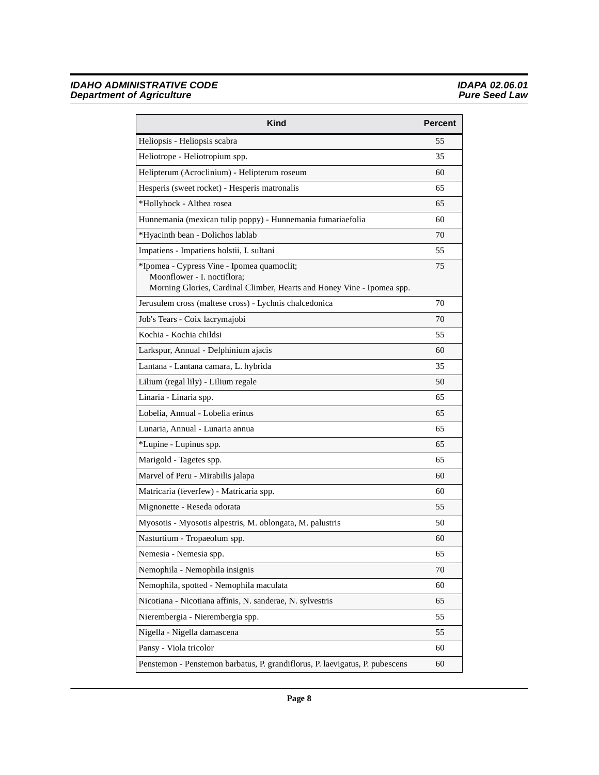| Kind                                                                                                                                                | <b>Percent</b> |
|-----------------------------------------------------------------------------------------------------------------------------------------------------|----------------|
| Heliopsis - Heliopsis scabra                                                                                                                        | 55             |
| Heliotrope - Heliotropium spp.                                                                                                                      | 35             |
| Helipterum (Acroclinium) - Helipterum roseum                                                                                                        | 60             |
| Hesperis (sweet rocket) - Hesperis matronalis                                                                                                       | 65             |
| *Hollyhock - Althea rosea                                                                                                                           | 65             |
| Hunnemania (mexican tulip poppy) - Hunnemania fumariaefolia                                                                                         | 60             |
| *Hyacinth bean - Dolichos lablab                                                                                                                    | 70             |
| Impatiens - Impatiens holstii, I. sultani                                                                                                           | 55             |
| *Ipomea - Cypress Vine - Ipomea quamoclit;<br>Moonflower - I. noctiflora;<br>Morning Glories, Cardinal Climber, Hearts and Honey Vine - Ipomea spp. | 75             |
| Jerusulem cross (maltese cross) - Lychnis chalcedonica                                                                                              | 70             |
| Job's Tears - Coix lacrymajobi                                                                                                                      | 70             |
| Kochia - Kochia childsi                                                                                                                             | 55             |
| Larkspur, Annual - Delphinium ajacis                                                                                                                | 60             |
| Lantana - Lantana camara, L. hybrida                                                                                                                | 35             |
| Lilium (regal lily) - Lilium regale                                                                                                                 | 50             |
| Linaria - Linaria spp.                                                                                                                              | 65             |
| Lobelia, Annual - Lobelia erinus                                                                                                                    | 65             |
| Lunaria, Annual - Lunaria annua                                                                                                                     | 65             |
| *Lupine - Lupinus spp.                                                                                                                              | 65             |
| Marigold - Tagetes spp.                                                                                                                             | 65             |
| Marvel of Peru - Mirabilis jalapa                                                                                                                   | 60             |
| Matricaria (feverfew) - Matricaria spp.                                                                                                             | 60             |
| Mignonette - Reseda odorata                                                                                                                         | 55             |
| Myosotis - Myosotis alpestris, M. oblongata, M. palustris                                                                                           | 50             |
| Nasturtium - Tropaeolum spp.                                                                                                                        | 60             |
| Nemesia - Nemesia spp.                                                                                                                              | 65             |
| Nemophila - Nemophila insignis                                                                                                                      | 70             |
| Nemophila, spotted - Nemophila maculata                                                                                                             | 60             |
| Nicotiana - Nicotiana affinis, N. sanderae, N. sylvestris                                                                                           | 65             |
| Nierembergia - Nierembergia spp.                                                                                                                    | 55             |
| Nigella - Nigella damascena                                                                                                                         | 55             |
| Pansy - Viola tricolor                                                                                                                              | 60             |
| Penstemon - Penstemon barbatus, P. grandiflorus, P. laevigatus, P. pubescens                                                                        | 60             |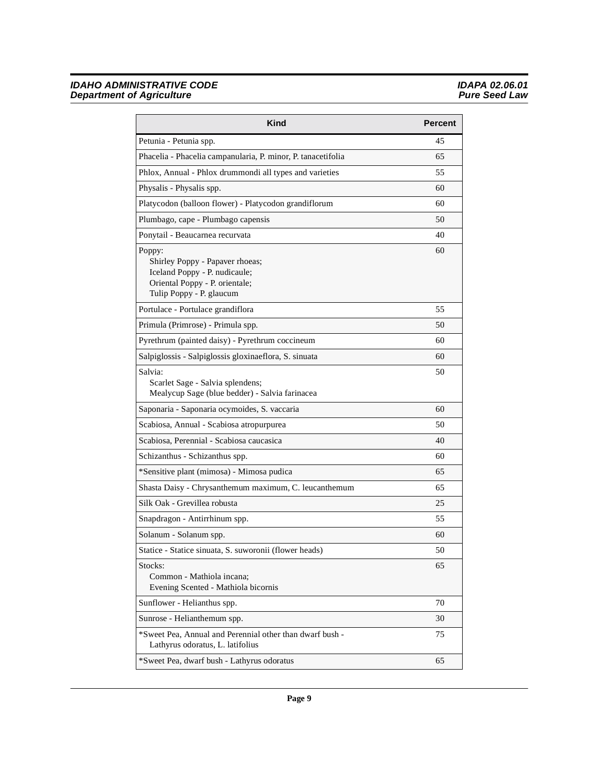| <b>Kind</b>                                                                                                                              | <b>Percent</b> |
|------------------------------------------------------------------------------------------------------------------------------------------|----------------|
| Petunia - Petunia spp.                                                                                                                   | 45             |
| Phacelia - Phacelia campanularia, P. minor, P. tanacetifolia                                                                             | 65             |
| Phlox, Annual - Phlox drummondi all types and varieties                                                                                  | 55             |
| Physalis - Physalis spp.                                                                                                                 | 60             |
| Platycodon (balloon flower) - Platycodon grandiflorum                                                                                    | 60             |
| Plumbago, cape - Plumbago capensis                                                                                                       | 50             |
| Ponytail - Beaucarnea recurvata                                                                                                          | 40             |
| Poppy:<br>Shirley Poppy - Papaver rhoeas;<br>Iceland Poppy - P. nudicaule;<br>Oriental Poppy - P. orientale;<br>Tulip Poppy - P. glaucum | 60             |
| Portulace - Portulace grandiflora                                                                                                        | 55             |
| Primula (Primrose) - Primula spp.                                                                                                        | 50             |
| Pyrethrum (painted daisy) - Pyrethrum coccineum                                                                                          | 60             |
| Salpiglossis - Salpiglossis gloxinaeflora, S. sinuata                                                                                    | 60             |
| Salvia:<br>Scarlet Sage - Salvia splendens;<br>Mealycup Sage (blue bedder) - Salvia farinacea                                            | 50             |
| Saponaria - Saponaria ocymoides, S. vaccaria                                                                                             | 60             |
| Scabiosa, Annual - Scabiosa atropurpurea                                                                                                 | 50             |
| Scabiosa, Perennial - Scabiosa caucasica                                                                                                 | 40             |
| Schizanthus - Schizanthus spp.                                                                                                           | 60             |
| *Sensitive plant (mimosa) - Mimosa pudica                                                                                                | 65             |
| Shasta Daisy - Chrysanthemum maximum, C. leucanthemum                                                                                    | 65             |
| Silk Oak - Grevillea robusta                                                                                                             | 25             |
| Snapdragon - Antirrhinum spp.                                                                                                            | 55             |
| Solanum - Solanum spp.                                                                                                                   | 60             |
| Statice - Statice sinuata, S. suworonii (flower heads)                                                                                   | 50             |
| Stocks:<br>Common - Mathiola incana;<br>Evening Scented - Mathiola bicornis                                                              | 65             |
| Sunflower - Helianthus spp.                                                                                                              | 70             |
| Sunrose - Helianthemum spp.                                                                                                              | 30             |
| *Sweet Pea, Annual and Perennial other than dwarf bush -<br>Lathyrus odoratus, L. latifolius                                             | 75             |
| *Sweet Pea, dwarf bush - Lathyrus odoratus                                                                                               | 65             |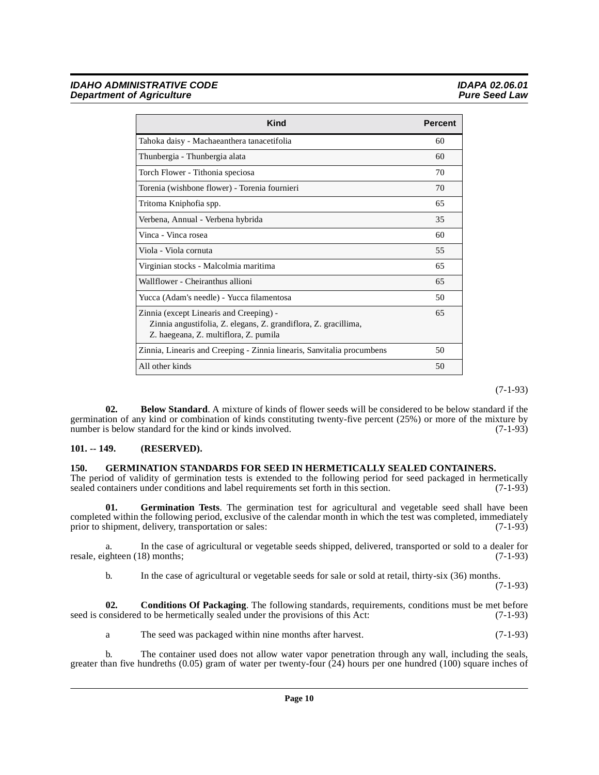| Kind                                                                                                                                                | <b>Percent</b> |
|-----------------------------------------------------------------------------------------------------------------------------------------------------|----------------|
| Tahoka daisy - Machaeanthera tanacetifolia                                                                                                          | 60             |
| Thunbergia - Thunbergia alata                                                                                                                       | 60             |
| Torch Flower - Tithonia speciosa                                                                                                                    | 70             |
| Torenia (wishbone flower) - Torenia fournieri                                                                                                       | 70             |
| Tritoma Kniphofia spp.                                                                                                                              | 65             |
| Verbena, Annual - Verbena hybrida                                                                                                                   | 35             |
| Vinca - Vinca rosea                                                                                                                                 | 60             |
| Viola - Viola cornuta                                                                                                                               | 55             |
| Virginian stocks - Malcolmia maritima                                                                                                               | 65             |
| Wallflower - Cheiranthus allioni                                                                                                                    | 65             |
| Yucca (Adam's needle) - Yucca filamentosa                                                                                                           | 50             |
| Zinnia (except Linearis and Creeping) -<br>Zinnia angustifolia, Z. elegans, Z. grandiflora, Z. gracillima,<br>Z. haegeana, Z. multiflora, Z. pumila | 65             |
| Zinnia, Linearis and Creeping - Zinnia linearis, Sanvitalia procumbens                                                                              | 50             |
| All other kinds                                                                                                                                     | 50             |

(7-1-93)

<span id="page-9-2"></span>**02. Below Standard**. A mixture of kinds of flower seeds will be considered to be below standard if the germination of any kind or combination of kinds constituting twenty-five percent (25%) or more of the mixture by<br>number is below standard for the kind or kinds involved. (7-1-93) number is below standard for the kind or kinds involved.

#### <span id="page-9-0"></span>**101. -- 149. (RESERVED).**

#### <span id="page-9-4"></span><span id="page-9-1"></span>**150. GERMINATION STANDARDS FOR SEED IN HERMETICALLY SEALED CONTAINERS.**

The period of validity of germination tests is extended to the following period for seed packaged in hermetically sealed containers under conditions and label requirements set forth in this section. (7-1-93)

<span id="page-9-5"></span>**01. Germination Tests**. The germination test for agricultural and vegetable seed shall have been completed within the following period, exclusive of the calendar month in which the test was completed, immediately<br>prior to shipment, delivery, transportation or sales: (7-1-93) prior to shipment, delivery, transportation or sales:

a. In the case of agricultural or vegetable seeds shipped, delivered, transported or sold to a dealer for ghteen (18) months: (7-1-93) resale, eighteen (18) months;

<span id="page-9-3"></span>b. In the case of agricultural or vegetable seeds for sale or sold at retail, thirty-six (36) months.

(7-1-93)

**02. Conditions Of Packaging**. The following standards, requirements, conditions must be met before onsidered to be hermetically sealed under the provisions of this Act: (7-1-93) seed is considered to be hermetically sealed under the provisions of this Act:

a The seed was packaged within nine months after harvest. (7-1-93)

b. The container used does not allow water vapor penetration through any wall, including the seals, greater than five hundreths  $(0.05)$  gram of water per twenty-four  $(24)$  hours per one hundred  $(100)$  square inches of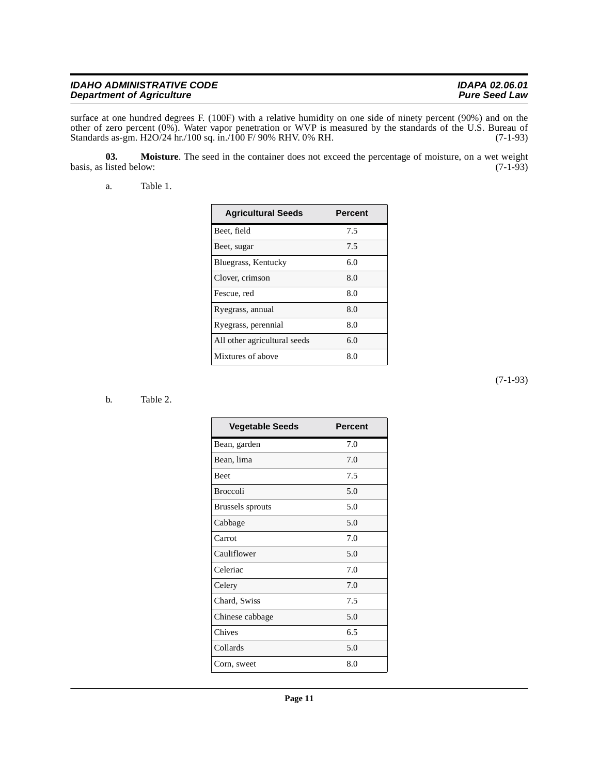| <b>IDAHO ADMINISTRATIVE CODE</b> | <b>IDAPA 02.06.01</b> |
|----------------------------------|-----------------------|
| <b>Department of Agriculture</b> | <b>Pure Seed Law</b>  |

surface at one hundred degrees F. (100F) with a relative humidity on one side of ninety percent (90%) and on the other of zero percent (0%). Water vapor penetration or WVP is measured by the standards of the U.S. Bureau of Standards as-gm. H2O/24 hr./100 sq. in./100 F/ 90% RHV. 0% RH. (7-1-93)

**03.** Moisture. The seed in the container does not exceed the percentage of moisture, on a wet weight listed below: (7-1-93) basis, as listed below:

<span id="page-10-1"></span><span id="page-10-0"></span>a. Table 1.

| <b>Agricultural Seeds</b>    | Percent |
|------------------------------|---------|
| Beet, field                  | 7.5     |
| Beet, sugar                  | 7.5     |
| Bluegrass, Kentucky          | 6.0     |
| Clover, crimson              | 8.0     |
| Fescue, red                  | 8.0     |
| Ryegrass, annual             | 8.0     |
| Ryegrass, perennial          | 8.0     |
| All other agricultural seeds | 6.0     |
| Mixtures of above            | 8.0     |

#### <span id="page-10-2"></span>b. Table 2.

| <b>Vegetable Seeds</b> | Percent |
|------------------------|---------|
| Bean, garden           | 7.0     |
| Bean, lima             | 7.0     |
| <b>Beet</b>            | 7.5     |
| <b>Broccoli</b>        | 5.0     |
| Brussels sprouts       | 5.0     |
| Cabbage                | 5.0     |
| Carrot                 | 7.0     |
| Cauliflower            | 5.0     |
| Celeriac               | 7.0     |
| Celery                 | 7.0     |
| Chard, Swiss           | 7.5     |
| Chinese cabbage        | 5.0     |
| Chives                 | 6.5     |
| Collards               | 5.0     |
| Corn, sweet            | 8.0     |

(7-1-93)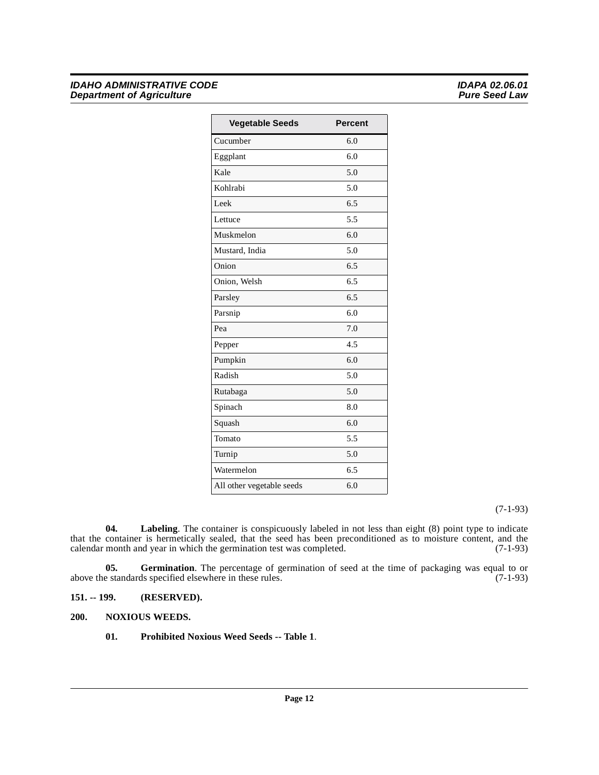#### **IDAHO ADMINISTRATIVE CODE**<br> **IDAHO ADMINISTRATIVE CODE**<br> **IDAPA 02.06.01**<br>
Pure Seed Law **Department of Agriculture**

| <b>Vegetable Seeds</b>    | <b>Percent</b> |
|---------------------------|----------------|
| Cucumber                  | 6.0            |
| Eggplant                  | 6.0            |
| Kale                      | 5.0            |
| Kohlrabi                  | 5.0            |
| Leek                      | 6.5            |
| Lettuce                   | 5.5            |
| Muskmelon                 | 6.0            |
| Mustard, India            | 5.0            |
| Onion                     | 6.5            |
| Onion, Welsh              | 6.5            |
| Parsley                   | 6.5            |
| Parsnip                   | 6.0            |
| Pea                       | 7.0            |
| Pepper                    | 4.5            |
| Pumpkin                   | 6.0            |
| Radish                    | 5.0            |
| Rutabaga                  | 5.0            |
| Spinach                   | 8.0            |
| Squash                    | 6.0            |
| Tomato                    | 5.5            |
| Turnip                    | 5.0            |
| Watermelon                | 6.5            |
| All other vegetable seeds | 6.0            |

(7-1-93)

<span id="page-11-3"></span>**04. Labeling**. The container is conspicuously labeled in not less than eight (8) point type to indicate that the container is hermetically sealed, that the seed has been preconditioned as to moisture content, and the calendar month and year in which the germination test was completed. (7-1-93)

<span id="page-11-2"></span>**05.** Germination. The percentage of germination of seed at the time of packaging was equal to or e standards specified elsewhere in these rules. (7-1-93) above the standards specified elsewhere in these rules.

<span id="page-11-0"></span>**151. -- 199. (RESERVED).**

#### <span id="page-11-1"></span>**200. NOXIOUS WEEDS.**

<span id="page-11-5"></span><span id="page-11-4"></span>**01. Prohibited Noxious Weed Seeds -- Table 1**.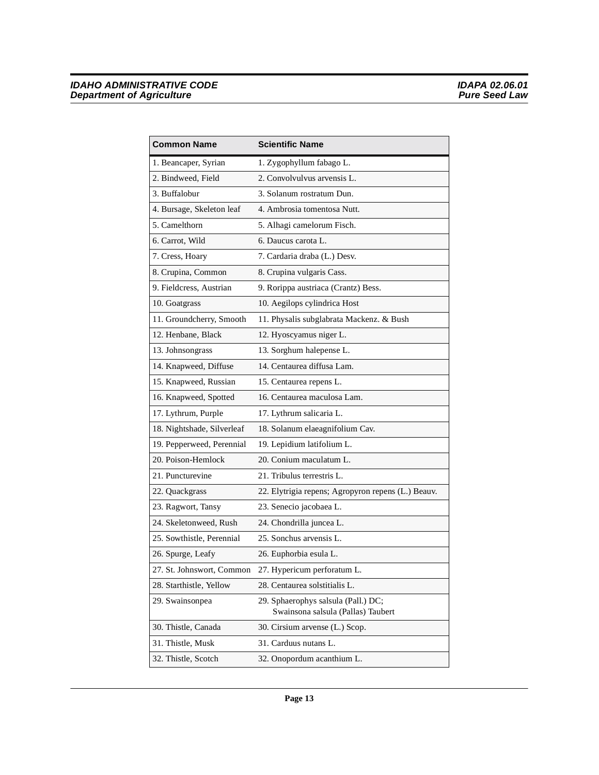| <b>Common Name</b>         | <b>Scientific Name</b>                             |
|----------------------------|----------------------------------------------------|
| 1. Beancaper, Syrian       | 1. Zygophyllum fabago L.                           |
| 2. Bindweed, Field         | 2. Convolvulvus arvensis L.                        |
| 3. Buffalobur              | 3. Solanum rostratum Dun.                          |
| 4. Bursage, Skeleton leaf  | 4. Ambrosia tomentosa Nutt.                        |
| 5. Camelthorn              | 5. Alhagi camelorum Fisch.                         |
| 6. Carrot, Wild            | 6. Daucus carota L.                                |
| 7. Cress, Hoary            | 7. Cardaria draba (L.) Desv.                       |
| 8. Crupina, Common         | 8. Crupina vulgaris Cass.                          |
| 9. Fieldcress, Austrian    | 9. Rorippa austriaca (Crantz) Bess.                |
| 10. Goatgrass              | 10. Aegilops cylindrica Host                       |
| 11. Groundcherry, Smooth   | 11. Physalis subglabrata Mackenz. & Bush           |
| 12. Henbane, Black         | 12. Hyoscyamus niger L.                            |
| 13. Johnsongrass           | 13. Sorghum halepense L.                           |
| 14. Knapweed, Diffuse      | 14. Centaurea diffusa Lam.                         |
| 15. Knapweed, Russian      | 15. Centaurea repens L.                            |
| 16. Knapweed, Spotted      | 16. Centaurea maculosa Lam.                        |
| 17. Lythrum, Purple        | 17. Lythrum salicaria L.                           |
| 18. Nightshade, Silverleaf | 18. Solanum elaeagnifolium Cav.                    |
| 19. Pepperweed, Perennial  | 19. Lepidium latifolium L.                         |
| 20. Poison-Hemlock         | 20. Conium maculatum L.                            |
| 21. Puncturevine           | 21. Tribulus terrestris L.                         |
| 22. Quackgrass             | 22. Elytrigia repens; Agropyron repens (L.) Beauv. |
| 23. Ragwort, Tansy         | 23. Senecio jacobaea L.                            |
| 24. Skeletonweed, Rush     | 24. Chondrilla juncea L.                           |
| 25. Sowthistle, Perennial  | 25. Sonchus arvensis L.                            |
| 26. Spurge, Leafy          | 26. Euphorbia esula L.                             |
| 27. St. Johnswort, Common  | 27. Hypericum perforatum L.                        |
| 28. Starthistle, Yellow    | 28. Centaurea solstitialis L.                      |
| 29. Swainsonpea            | 29. Sphaerophys salsula (Pall.) DC;                |
|                            | Swainsona salsula (Pallas) Taubert                 |
| 30. Thistle, Canada        | 30. Cirsium arvense (L.) Scop.                     |
| 31. Thistle, Musk          | 31. Carduus nutans L.                              |
| 32. Thistle, Scotch        | 32. Onopordum acanthium L.                         |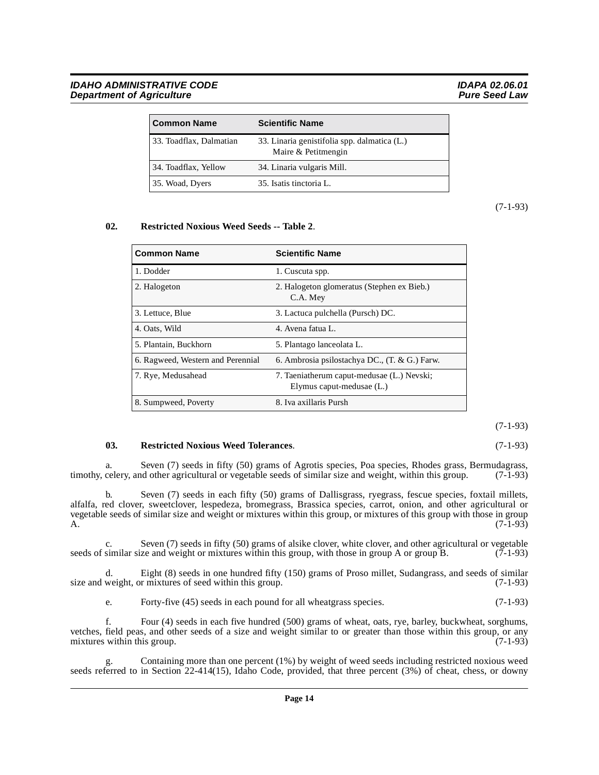#### IDAHO ADMINISTRATIVE CODE **IDAPA 02.06.01**<br>Department of Agriculture in the interval of the interval of the interval of the interval of the interval of th **Department of Agriculture**

| <b>Common Name</b>      | <b>Scientific Name</b>                                              |
|-------------------------|---------------------------------------------------------------------|
| 33. Toadflax, Dalmatian | 33. Linaria genistifolia spp. dalmatica (L.)<br>Maire & Petitmengin |
| 34. Toadflax, Yellow    | 34. Linaria vulgaris Mill.                                          |
| 35. Woad, Dyers         | 35. Isatis tinctoria L.                                             |

(7-1-93)

#### **02. Restricted Noxious Weed Seeds -- Table 2**.

<span id="page-13-0"></span>

| <b>Common Name</b>                | <b>Scientific Name</b>                                                  |
|-----------------------------------|-------------------------------------------------------------------------|
| 1. Dodder                         | 1. Cuscuta spp.                                                         |
| 2. Halogeton                      | 2. Halogeton glomeratus (Stephen ex Bieb.)<br>C.A. Mey                  |
| 3. Lettuce, Blue                  | 3. Lactuca pulchella (Pursch) DC.                                       |
| 4. Oats, Wild                     | 4. Avena fatua L.                                                       |
| 5. Plantain, Buckhorn             | 5. Plantago lanceolata L.                                               |
| 6. Ragweed, Western and Perennial | 6. Ambrosia psilostachya DC., (T. & G.) Farw.                           |
| 7. Rye, Medusahead                | 7. Taeniatherum caput-medusae (L.) Nevski;<br>Elymus caput-medusae (L.) |
| 8. Sumpweed, Poverty              | 8. Iva axillaris Pursh                                                  |

(7-1-93)

#### <span id="page-13-1"></span>**03. Restricted Noxious Weed Tolerances**. (7-1-93)

a. Seven (7) seeds in fifty (50) grams of Agrotis species, Poa species, Rhodes grass, Bermudagrass, timothy, celery, and other agricultural or vegetable seeds of similar size and weight, within this group. (7-1-93)

b. Seven (7) seeds in each fifty (50) grams of Dallisgrass, ryegrass, fescue species, foxtail millets, alfalfa, red clover, sweetclover, lespedeza, bromegrass, Brassica species, carrot, onion, and other agricultural or vegetable seeds of similar size and weight or mixtures within this group, or mixtures of this group with those in group A.  $(7-1-93)$ 

c. Seven (7) seeds in fifty (50) grams of alsike clover, white clover, and other agricultural or vegetable similar size and weight or mixtures within this group, with those in group A or group B. (7-1-93) seeds of similar size and weight or mixtures within this group, with those in group A or group B.

d. Eight (8) seeds in one hundred fifty (150) grams of Proso millet, Sudangrass, and seeds of similar size and weight, or mixtures of seed within this group. (7-1-93)

e. Forty-five (45) seeds in each pound for all wheatgrass species. (7-1-93)

f. Four (4) seeds in each five hundred (500) grams of wheat, oats, rye, barley, buckwheat, sorghums, vetches, field peas, and other seeds of a size and weight similar to or greater than those within this group, or any mixtures within this group. (7-1-93) mixtures within this group.

Containing more than one percent  $(1\%)$  by weight of weed seeds including restricted noxious weed seeds referred to in Section 22-414(15), Idaho Code, provided, that three percent (3%) of cheat, chess, or downy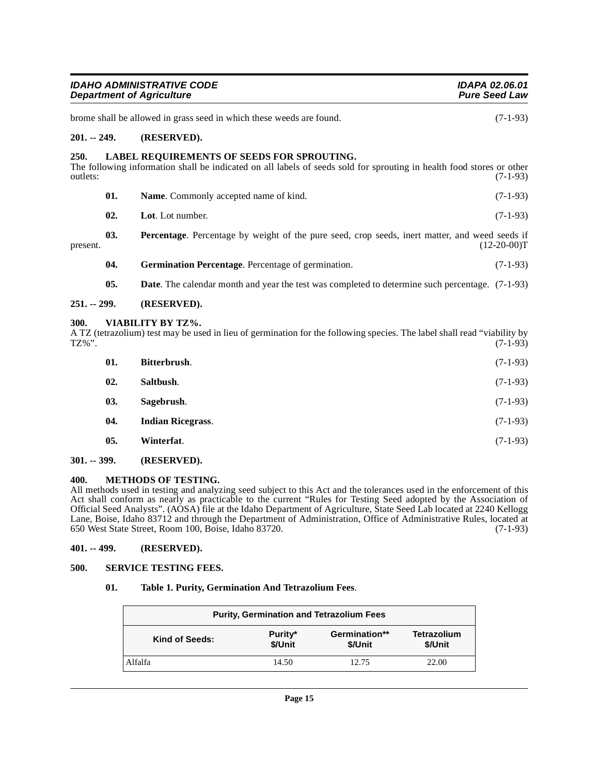<span id="page-14-13"></span><span id="page-14-11"></span><span id="page-14-9"></span><span id="page-14-1"></span><span id="page-14-0"></span>

|                  |     | <b>IDAHO ADMINISTRATIVE CODE</b><br><b>Department of Agriculture</b>                                                                                                | IDAPA 02.06.01<br><b>Pure Seed Law</b> |
|------------------|-----|---------------------------------------------------------------------------------------------------------------------------------------------------------------------|----------------------------------------|
|                  |     | brome shall be allowed in grass seed in which these weeds are found.                                                                                                | $(7-1-93)$                             |
| $201. - 249.$    |     | (RESERVED).                                                                                                                                                         |                                        |
| 250.<br>outlets: |     | LABEL REQUIREMENTS OF SEEDS FOR SPROUTING.<br>The following information shall be indicated on all labels of seeds sold for sprouting in health food stores or other | $(7-1-93)$                             |
|                  | 01. | Name. Commonly accepted name of kind.                                                                                                                               | $(7-1-93)$                             |
|                  | 02. | Lot. Lot number.                                                                                                                                                    | $(7-1-93)$                             |
| present.         | 03. | Percentage. Percentage by weight of the pure seed, crop seeds, inert matter, and weed seeds if                                                                      | $(12-20-00)T$                          |
|                  | 04. | Germination Percentage. Percentage of germination.                                                                                                                  | $(7-1-93)$                             |
|                  | 05. | <b>Date</b> . The calendar month and year the test was completed to determine such percentage. (7-1-93)                                                             |                                        |
| 251. -- 299.     |     | (RESERVED).                                                                                                                                                         |                                        |
| 300.<br>TZ%".    |     | VIABILITY BY TZ%.<br>A TZ (tetrazolium) test may be used in lieu of germination for the following species. The label shall read "viability by                       | $(7-1-93)$                             |
|                  | 01. | Bitterbrush.                                                                                                                                                        | $(7-1-93)$                             |
|                  | 02. | Saltbush.                                                                                                                                                           | $(7-1-93)$                             |
|                  | 03. | Sagebrush.                                                                                                                                                          | $(7-1-93)$                             |
|                  | 04. | <b>Indian Ricegrass.</b>                                                                                                                                            | $(7-1-93)$                             |
|                  | 05. | Winterfat.                                                                                                                                                          | $(7-1-93)$                             |

#### <span id="page-14-19"></span><span id="page-14-18"></span><span id="page-14-15"></span><span id="page-14-14"></span><span id="page-14-10"></span><span id="page-14-8"></span><span id="page-14-4"></span><span id="page-14-3"></span><span id="page-14-2"></span>**301. -- 399. (RESERVED).**

#### <span id="page-14-12"></span><span id="page-14-5"></span>**400. METHODS OF TESTING.**

All methods used in testing and analyzing seed subject to this Act and the tolerances used in the enforcement of this Act shall conform as nearly as practicable to the current "Rules for Testing Seed adopted by the Association of Official Seed Analysts". (AOSA) file at the Idaho Department of Agriculture, State Seed Lab located at 2240 Kellogg Lane, Boise, Idaho 83712 and through the Department of Administration, Office of Administrative Rules, located at 650 West State Street, Room 100, Boise, Idaho 83720. (7-1-93)

#### <span id="page-14-6"></span>**401. -- 499. (RESERVED).**

#### <span id="page-14-7"></span>**500. SERVICE TESTING FEES.**

#### <span id="page-14-16"></span>**01. Table 1. Purity, Germination And Tetrazolium Fees**.

<span id="page-14-17"></span>

| <b>Purity, Germination and Tetrazolium Fees</b> |                    |                          |                               |
|-------------------------------------------------|--------------------|--------------------------|-------------------------------|
| Kind of Seeds:                                  | Purity*<br>\$/Unit | Germination**<br>\$/Unit | <b>Tetrazolium</b><br>\$/Unit |
| Alfalfa                                         | 14.50              | 12.75                    | 22.00                         |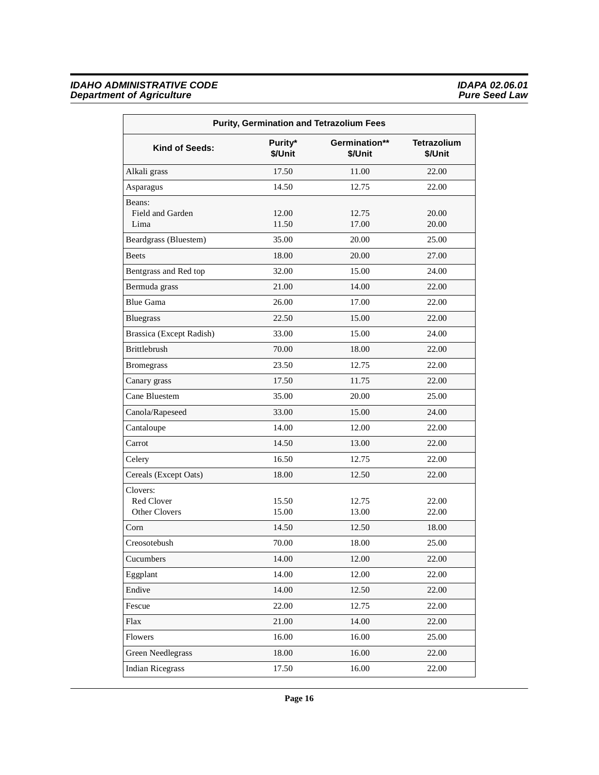| <b>Purity, Germination and Tetrazolium Fees</b>       |                    |                          |                               |
|-------------------------------------------------------|--------------------|--------------------------|-------------------------------|
| Kind of Seeds:                                        | Purity*<br>\$/Unit | Germination**<br>\$/Unit | <b>Tetrazolium</b><br>\$/Unit |
| Alkali grass                                          | 17.50              | 11.00                    | 22.00                         |
| Asparagus                                             | 14.50              | 12.75                    | 22.00                         |
| Beans:<br>Field and Garden<br>Lima                    | 12.00<br>11.50     | 12.75<br>17.00           | 20.00<br>20.00                |
| Beardgrass (Bluestem)                                 | 35.00              | 20.00                    | 25.00                         |
| <b>Beets</b>                                          | 18.00              | 20.00                    | 27.00                         |
| Bentgrass and Red top                                 | 32.00              | 15.00                    | 24.00                         |
| Bermuda grass                                         | 21.00              | 14.00                    | 22.00                         |
| <b>Blue Gama</b>                                      | 26.00              | 17.00                    | 22.00                         |
| <b>Bluegrass</b>                                      | 22.50              | 15.00                    | 22.00                         |
| Brassica (Except Radish)                              | 33.00              | 15.00                    | 24.00                         |
| <b>Brittlebrush</b>                                   | 70.00              | 18.00                    | 22.00                         |
| <b>Bromegrass</b>                                     | 23.50              | 12.75                    | 22.00                         |
| Canary grass                                          | 17.50              | 11.75                    | 22.00                         |
| Cane Bluestem                                         | 35.00              | 20.00                    | 25.00                         |
| Canola/Rapeseed                                       | 33.00              | 15.00                    | 24.00                         |
| Cantaloupe                                            | 14.00              | 12.00                    | 22.00                         |
| Carrot                                                | 14.50              | 13.00                    | 22.00                         |
| Celery                                                | 16.50              | 12.75                    | 22.00                         |
| Cereals (Except Oats)                                 | 18.00              | 12.50                    | 22.00                         |
| Clovers:<br><b>Red Clover</b><br><b>Other Clovers</b> | 15.50<br>15.00     | 12.75<br>13.00           | 22.00<br>22.00                |
| Corn                                                  | 14.50              | 12.50                    | 18.00                         |
| Creosotebush                                          | 70.00              | 18.00                    | 25.00                         |
| Cucumbers                                             | 14.00              | 12.00                    | 22.00                         |
| Eggplant                                              | 14.00              | 12.00                    | 22.00                         |
| Endive                                                | 14.00              | 12.50                    | 22.00                         |
| Fescue                                                | 22.00              | 12.75                    | 22.00                         |
| Flax                                                  | 21.00              | 14.00                    | 22.00                         |
| Flowers                                               | 16.00              | 16.00                    | 25.00                         |
| <b>Green Needlegrass</b>                              | 18.00              | 16.00                    | 22.00                         |
| <b>Indian Ricegrass</b>                               | 17.50              | 16.00                    | 22.00                         |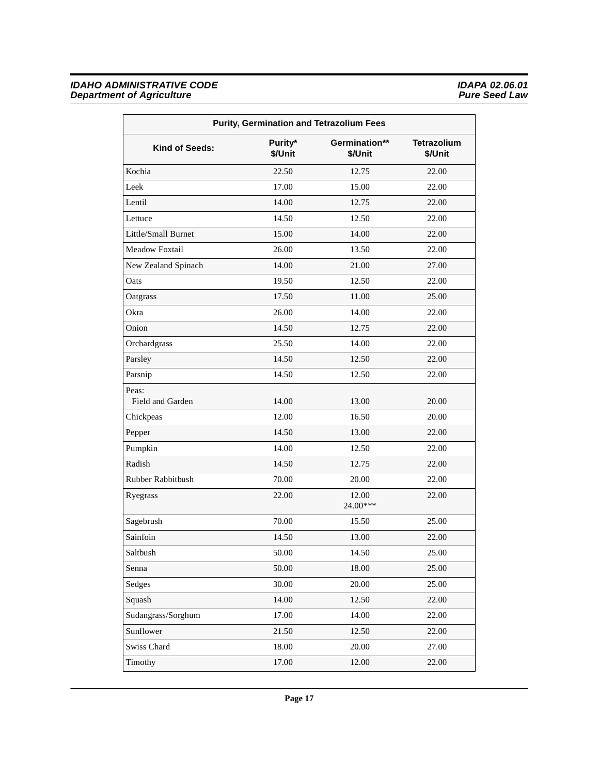| <b>Purity, Germination and Tetrazolium Fees</b> |                    |                          |                               |
|-------------------------------------------------|--------------------|--------------------------|-------------------------------|
| Kind of Seeds:                                  | Purity*<br>\$/Unit | Germination**<br>\$/Unit | <b>Tetrazolium</b><br>\$/Unit |
| Kochia                                          | 22.50              | 12.75                    | 22.00                         |
| Leek                                            | 17.00              | 15.00                    | 22.00                         |
| Lentil                                          | 14.00              | 12.75                    | 22.00                         |
| Lettuce                                         | 14.50              | 12.50                    | 22.00                         |
| Little/Small Burnet                             | 15.00              | 14.00                    | 22.00                         |
| <b>Meadow Foxtail</b>                           | 26.00              | 13.50                    | 22.00                         |
| New Zealand Spinach                             | 14.00              | 21.00                    | 27.00                         |
| Oats                                            | 19.50              | 12.50                    | 22.00                         |
| Oatgrass                                        | 17.50              | 11.00                    | 25.00                         |
| Okra                                            | 26.00              | 14.00                    | 22.00                         |
| Onion                                           | 14.50              | 12.75                    | 22.00                         |
| Orchardgrass                                    | 25.50              | 14.00                    | 22.00                         |
| Parsley                                         | 14.50              | 12.50                    | 22.00                         |
| Parsnip                                         | 14.50              | 12.50                    | 22.00                         |
| Peas:<br>Field and Garden                       | 14.00              | 13.00                    | 20.00                         |
| Chickpeas                                       | 12.00              | 16.50                    | 20.00                         |
| Pepper                                          | 14.50              | 13.00                    | 22.00                         |
| Pumpkin                                         | 14.00              | 12.50                    | 22.00                         |
| Radish                                          | 14.50              | 12.75                    | 22.00                         |
| Rubber Rabbitbush                               | 70.00              | 20.00                    | 22.00                         |
| Ryegrass                                        | 22.00              | 12.00<br>24.00***        | 22.00                         |
| Sagebrush                                       | 70.00              | 15.50                    | 25.00                         |
| Sainfoin                                        | 14.50              | 13.00                    | 22.00                         |
| Saltbush                                        | 50.00              | 14.50                    | 25.00                         |
| Senna                                           | 50.00              | 18.00                    | 25.00                         |
| Sedges                                          | 30.00              | 20.00                    | 25.00                         |
| Squash                                          | 14.00              | 12.50                    | 22.00                         |
| Sudangrass/Sorghum                              | 17.00              | 14.00                    | 22.00                         |
| Sunflower                                       | 21.50              | 12.50                    | 22.00                         |
| Swiss Chard                                     | 18.00              | 20.00                    | 27.00                         |
| Timothy                                         | 17.00              | 12.00                    | 22.00                         |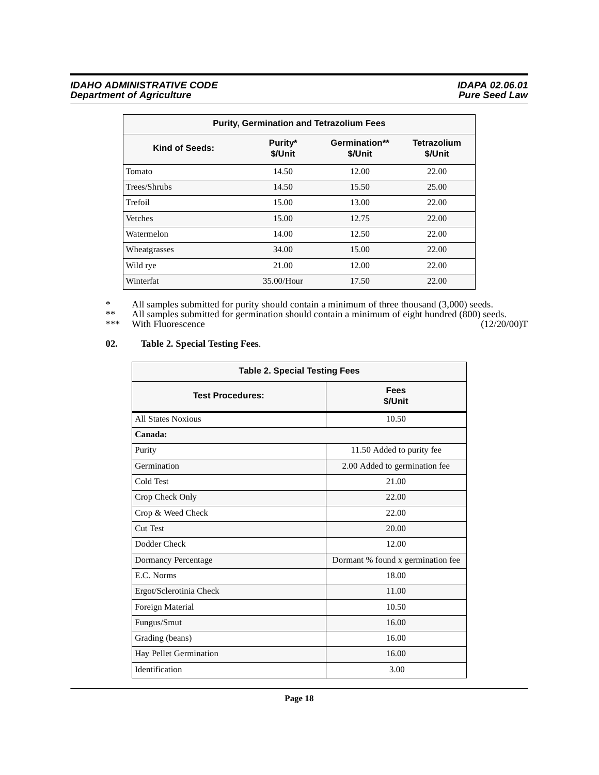| <b>Purity, Germination and Tetrazolium Fees</b> |                    |                          |                               |
|-------------------------------------------------|--------------------|--------------------------|-------------------------------|
| Kind of Seeds:                                  | Purity*<br>\$/Unit | Germination**<br>\$/Unit | <b>Tetrazolium</b><br>\$/Unit |
| Tomato                                          | 14.50              | 12.00                    | 22.00                         |
| Trees/Shrubs                                    | 14.50              | 15.50                    | 25.00                         |
| Trefoil                                         | 15.00              | 13.00                    | 22.00                         |
| Vetches                                         | 15.00              | 12.75                    | 22.00                         |
| Watermelon                                      | 14.00              | 12.50                    | 22.00                         |
| Wheatgrasses                                    | 34.00              | 15.00                    | 22.00                         |
| Wild rye                                        | 21.00              | 12.00                    | 22.00                         |
| Winterfat                                       | $35.00/H$ our      | 17.50                    | 22.00                         |

\* All samples submitted for purity should contain a minimum of three thousand (3,000) seeds.

\*\* All samples submitted for germination should contain a minimum of eight hundred (800) seeds.

\*\*\* With Fluorescence (12/20/00)T

#### **02. Table 2. Special Testing Fees**.

<span id="page-17-0"></span>

| <b>Table 2. Special Testing Fees</b> |                                   |  |
|--------------------------------------|-----------------------------------|--|
| <b>Test Procedures:</b>              | Fees<br>\$/Unit                   |  |
| <b>All States Noxious</b>            | 10.50                             |  |
| Canada:                              |                                   |  |
| Purity                               | 11.50 Added to purity fee         |  |
| Germination                          | 2.00 Added to germination fee     |  |
| Cold Test                            | 21.00                             |  |
| Crop Check Only                      | 22.00                             |  |
| Crop & Weed Check                    | 22.00                             |  |
| <b>Cut Test</b>                      | 20.00                             |  |
| Dodder Check                         | 12.00                             |  |
| Dormancy Percentage                  | Dormant % found x germination fee |  |
| E.C. Norms                           | 18.00                             |  |
| Ergot/Sclerotinia Check              | 11.00                             |  |
| Foreign Material                     | 10.50                             |  |
| Fungus/Smut                          | 16.00                             |  |
| Grading (beans)                      | 16.00                             |  |
| Hay Pellet Germination               | 16.00                             |  |
| Identification                       | 3.00                              |  |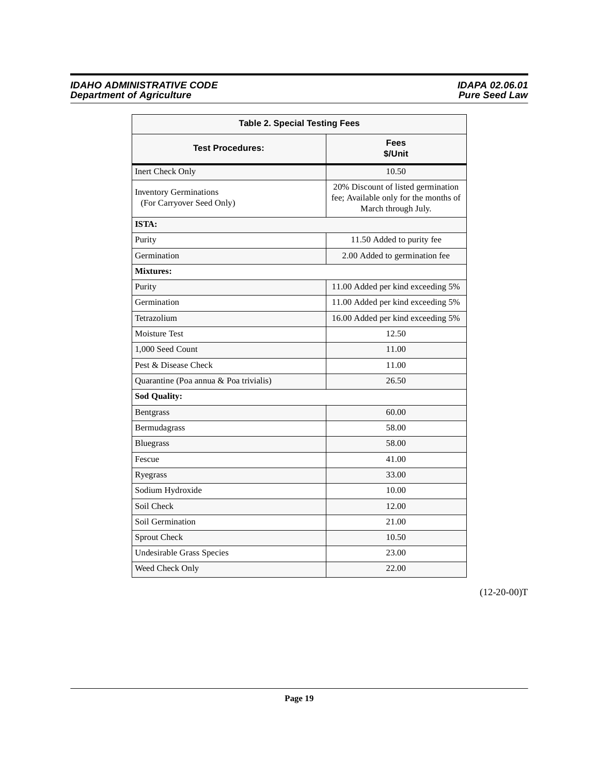| <b>Table 2. Special Testing Fees</b>                       |                                                                                                    |  |
|------------------------------------------------------------|----------------------------------------------------------------------------------------------------|--|
| <b>Test Procedures:</b>                                    | <b>Fees</b><br>\$/Unit                                                                             |  |
| Inert Check Only                                           | 10.50                                                                                              |  |
| <b>Inventory Germinations</b><br>(For Carryover Seed Only) | 20% Discount of listed germination<br>fee; Available only for the months of<br>March through July. |  |
| <b>ISTA:</b>                                               |                                                                                                    |  |
| Purity                                                     | 11.50 Added to purity fee                                                                          |  |
| Germination                                                | 2.00 Added to germination fee                                                                      |  |
| <b>Mixtures:</b>                                           |                                                                                                    |  |
| Purity                                                     | 11.00 Added per kind exceeding 5%                                                                  |  |
| Germination                                                | 11.00 Added per kind exceeding 5%                                                                  |  |
| Tetrazolium                                                | 16.00 Added per kind exceeding 5%                                                                  |  |
| <b>Moisture Test</b>                                       | 12.50                                                                                              |  |
| 1,000 Seed Count                                           | 11.00                                                                                              |  |
| Pest & Disease Check                                       | 11.00                                                                                              |  |
| Quarantine (Poa annua & Poa trivialis)                     | 26.50                                                                                              |  |
| <b>Sod Quality:</b>                                        |                                                                                                    |  |
| <b>Bentgrass</b>                                           | 60.00                                                                                              |  |
| Bermudagrass                                               | 58.00                                                                                              |  |
| <b>Bluegrass</b>                                           | 58.00                                                                                              |  |
| Fescue                                                     | 41.00                                                                                              |  |
| Ryegrass                                                   | 33.00                                                                                              |  |
| Sodium Hydroxide                                           | 10.00                                                                                              |  |
| Soil Check                                                 | 12.00                                                                                              |  |
| Soil Germination                                           | 21.00                                                                                              |  |
| Sprout Check                                               | 10.50                                                                                              |  |
| Undesirable Grass Species                                  | 23.00                                                                                              |  |
| Weed Check Only                                            | 22.00                                                                                              |  |

 $(12-20-00)T$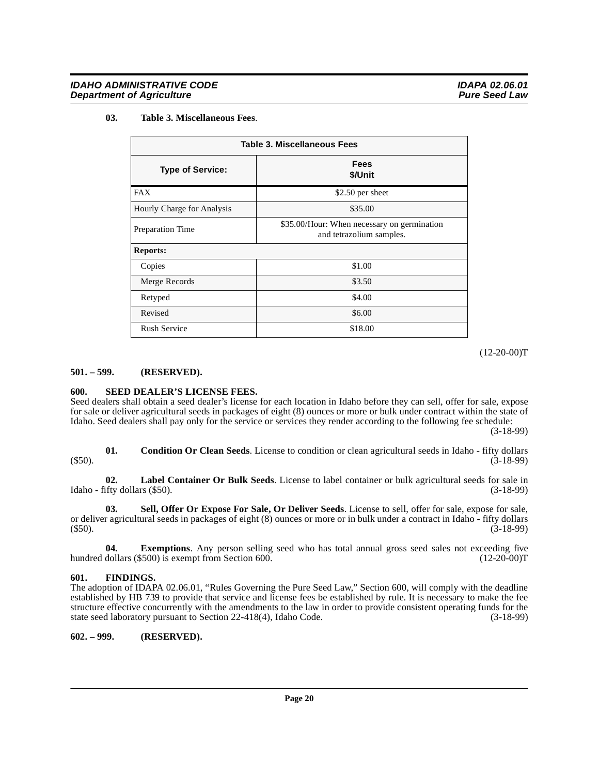#### **03. Table 3. Miscellaneous Fees**.

<span id="page-19-9"></span>

| Table 3. Miscellaneous Fees |                                                                         |  |
|-----------------------------|-------------------------------------------------------------------------|--|
| <b>Type of Service:</b>     | <b>Fees</b><br>\$/Unit                                                  |  |
| FAX                         | \$2.50 per sheet                                                        |  |
| Hourly Charge for Analysis  | \$35.00                                                                 |  |
| <b>Preparation Time</b>     | \$35.00/Hour: When necessary on germination<br>and tetrazolium samples. |  |
| <b>Reports:</b>             |                                                                         |  |
| Copies                      | \$1.00                                                                  |  |
| Merge Records               | \$3.50                                                                  |  |
| Retyped                     | \$4.00                                                                  |  |
| Revised                     | \$6.00                                                                  |  |
| <b>Rush Service</b>         | \$18.00                                                                 |  |

 $(12-20-00)T$ 

#### <span id="page-19-0"></span>**501. – 599. (RESERVED).**

#### <span id="page-19-7"></span><span id="page-19-1"></span>**600. SEED DEALER'S LICENSE FEES.**

Seed dealers shall obtain a seed dealer's license for each location in Idaho before they can sell, offer for sale, expose for sale or deliver agricultural seeds in packages of eight (8) ounces or more or bulk under contract within the state of Idaho. Seed dealers shall pay only for the service or services they render according to the following fee schedule:

(3-18-99)

<span id="page-19-4"></span>**01. Condition Or Clean Seeds**. License to condition or clean agricultural seeds in Idaho - fifty dollars (3-18-99) (\$50). (3-18-99)

<span id="page-19-6"></span>**02.** Label Container Or Bulk Seeds. License to label container or bulk agricultural seeds for sale in ifty dollars (\$50). (3-18-99) Idaho - fifty dollars (\$50).

<span id="page-19-8"></span>**03. Sell, Offer Or Expose For Sale, Or Deliver Seeds**. License to sell, offer for sale, expose for sale, or deliver agricultural seeds in packages of eight (8) ounces or more or in bulk under a contract in Idaho - fifty dollars (\$50). (3-18-99)

**04.** Exemptions. Any person selling seed who has total annual gross seed sales not exceeding five dollars (\$500) is exempt from Section 600. (12-20-00)<sup>T</sup> hundred dollars  $(\$500)$  is exempt from Section 600.

#### <span id="page-19-5"></span><span id="page-19-2"></span>**601. FINDINGS.**

The adoption of IDAPA 02.06.01, "Rules Governing the Pure Seed Law," Section 600, will comply with the deadline established by HB 739 to provide that service and license fees be established by rule. It is necessary to make the fee structure effective concurrently with the amendments to the law in order to provide consistent operating funds for the state seed laboratory pursuant to Section 22-418(4), Idaho Code. (3-18-99)

<span id="page-19-3"></span>**602. – 999. (RESERVED).**